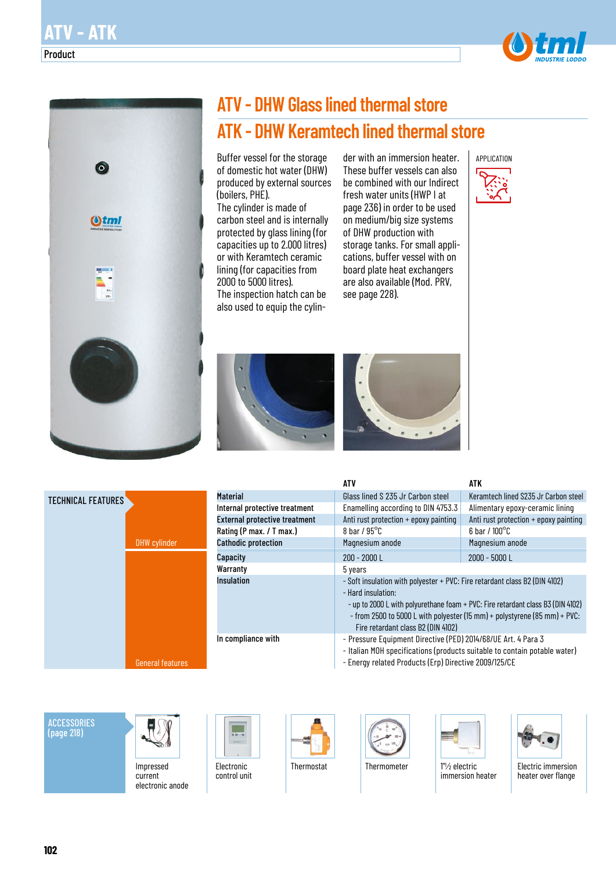Product



# **ATV - DHW Glass lined thermal store ATK - DHW Keramtech lined thermal store**

Buffer vessel for the storage of domestic hot water (DHW) produced by external sources (boilers, PHE).

The cylinder is made of carbon steel and is internally protected by glass lining (for capacities up to 2.000 litres) or with Keramtech ceramic lining (for capacities from 2000 to 5000 litres). The inspection hatch can be also used to equip the cylin-

der with an immersion heater. These buffer vessels can also be combined with our Indirect fresh water units (HWP I at page 236) in order to be used on medium/big size systems of DHW production with storage tanks. For small applications, buffer vessel with on board plate heat exchangers are also available (Mod. PRV, see page 228).







|                                      | <b>ATV</b>                                                                                                                                                                                                                                                                                             | ATK                                   |  |  |  |  |  |  |
|--------------------------------------|--------------------------------------------------------------------------------------------------------------------------------------------------------------------------------------------------------------------------------------------------------------------------------------------------------|---------------------------------------|--|--|--|--|--|--|
| <b>Material</b>                      | Glass lined S 235 Jr Carbon steel                                                                                                                                                                                                                                                                      | Keramtech lined S235 Jr Carbon steel  |  |  |  |  |  |  |
| Internal protective treatment        | Enamelling according to DIN 4753.3<br>Alimentary epoxy-ceramic lining                                                                                                                                                                                                                                  |                                       |  |  |  |  |  |  |
| <b>External protective treatment</b> | Anti rust protection + epoxy painting                                                                                                                                                                                                                                                                  | Anti rust protection + epoxy painting |  |  |  |  |  |  |
| Rating (P max. / T max.)             | 8 bar / $95^{\circ}$ C                                                                                                                                                                                                                                                                                 | $6$ bar / $100^{\circ}$ C             |  |  |  |  |  |  |
| <b>Cathodic protection</b>           | Magnesium anode                                                                                                                                                                                                                                                                                        | Magnesium anode                       |  |  |  |  |  |  |
| Capacity                             | 200 - 2000 L                                                                                                                                                                                                                                                                                           | 2000 - 5000 L                         |  |  |  |  |  |  |
| Warranty                             | 5 years                                                                                                                                                                                                                                                                                                |                                       |  |  |  |  |  |  |
| <b>Insulation</b>                    | - Soft insulation with polyester + PVC: Fire retardant class B2 (DIN 4102)<br>- Hard insulation:<br>- up to 2000 L with polyurethane foam + PVC: Fire retardant class B3 (DIN 4102)<br>- from 2500 to 5000 L with polyester (15 mm) + polystyrene (85 mm) + PVC:<br>Fire retardant class B2 (DIN 4102) |                                       |  |  |  |  |  |  |
| In compliance with                   | - Pressure Equipment Directive (PED) 2014/68/UE Art. 4 Para 3<br>- Italian MOH specifications (products suitable to contain potable water)<br>- Energy related Products (Erp) Directive 2009/125/CE                                                                                                    |                                       |  |  |  |  |  |  |

ACCESSORIES (page 218)



Impressed current electronic anode



Electronic control unit





Thermostat Thermometer 1" /2 electric immersion heater



Electric immersion heater over flange

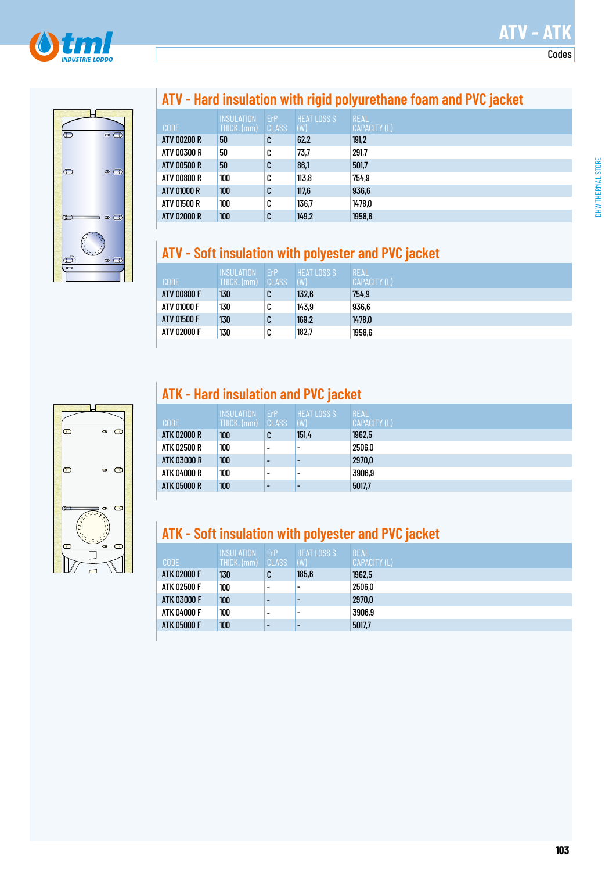



#### **ATV - Hard insulation with rigid polyurethane foam and PVC jacket**

|             | <b>INSULATION</b> | ErP          | <b>HEAT LOSS S</b> | <b>REAL</b>         |
|-------------|-------------------|--------------|--------------------|---------------------|
| <b>CODE</b> | THICK. (mm)       | <b>CLASS</b> | (W)                | <b>CAPACITY (L)</b> |
| ATV 00200 R | 50                | C            | 62,2               | 191,2               |
| ATV 00300 R | 50                | C            | 73.7               | 291,7               |
| ATV 00500 R | 50                | C            | 86,1               | 501.7               |
| ATV 00800 R | 100               | C            | 113.8              | 754,9               |
| ATV 01000 R | 100               | C            | 117,6              | 936,6               |
| ATV 01500 R | 100               | C            | 136.7              | 1478,0              |
| ATV 02000 R | 100               | C            | 149,2              | 1958,6              |

#### **ATV - Soft insulation with polyester and PVC jacket**

| <b>CODE</b> | <b>INSULATION</b><br>THICK. (mm) | ErP<br><b>CLASS</b> | <b>HEAT LOSS S</b><br>(W) | <b>REAL</b><br>CAPACITY (L) |
|-------------|----------------------------------|---------------------|---------------------------|-----------------------------|
| ATV 00800 F | 130                              | C                   | 132,6                     | 754,9                       |
| ATV 01000 F | 130                              | C                   | 143,9                     | 936,6                       |
| ATV 01500 F | 130                              | C                   | 169,2                     | 1478,0                      |
| ATV 02000 F | 130                              | C                   | 182,7                     | 1958,6                      |
|             |                                  |                     |                           |                             |

## $\overline{\mathbb{C}}$  $\mathbf C$  $\bullet$  $\overline{\mathbb{C}}$  $\circ$  0  $\bullet$ ౼

### **ATK - Hard insulation and PVC jacket**

| <b>CODE</b>        | <b>INSULATION</b><br>THICK. (mm) | <b>FrP</b><br><b>CLASS</b> | <b>HEAT LOSS S</b><br>(W) | <b>REAL</b><br>CAPACITY (L) |
|--------------------|----------------------------------|----------------------------|---------------------------|-----------------------------|
| ATK 02000 R        | 100                              | C                          | 151,4                     | 1962,5                      |
| ATK 02500 R        | 100                              | $\overline{\phantom{0}}$   | -                         | 2506,0                      |
| <b>ATK 03000 R</b> | 100                              | $\overline{\phantom{0}}$   |                           | 2970,0                      |
| ATK 04000 R        | 100                              | $\overline{\phantom{0}}$   |                           | 3906.9                      |
| <b>ATK 05000 R</b> | 100                              | $\overline{\phantom{a}}$   |                           | 5017,7                      |

### **ATK - Soft insulation with polyester and PVC jacket**

| <b>CODE</b> | <b>INSULATION</b><br>THICK. (mm) | ErP<br>CLASS | <b>HEAT LOSS S</b><br>(W) | <b>REAL</b><br><b>CAPACITY (L)</b> |
|-------------|----------------------------------|--------------|---------------------------|------------------------------------|
| ATK 02000 F | 130                              | C            | 185,6                     | 1962,5                             |
| ATK 02500 F | 100                              | ۰            |                           | 2506,0                             |
| ATK 03000 F | 100                              |              |                           | 2970,0                             |
| ATK 04000 F | 100                              | ۰            |                           | 3906,9                             |
| ATK 05000 F | 100                              | -            |                           | 5017.7                             |

**ATV - ATK**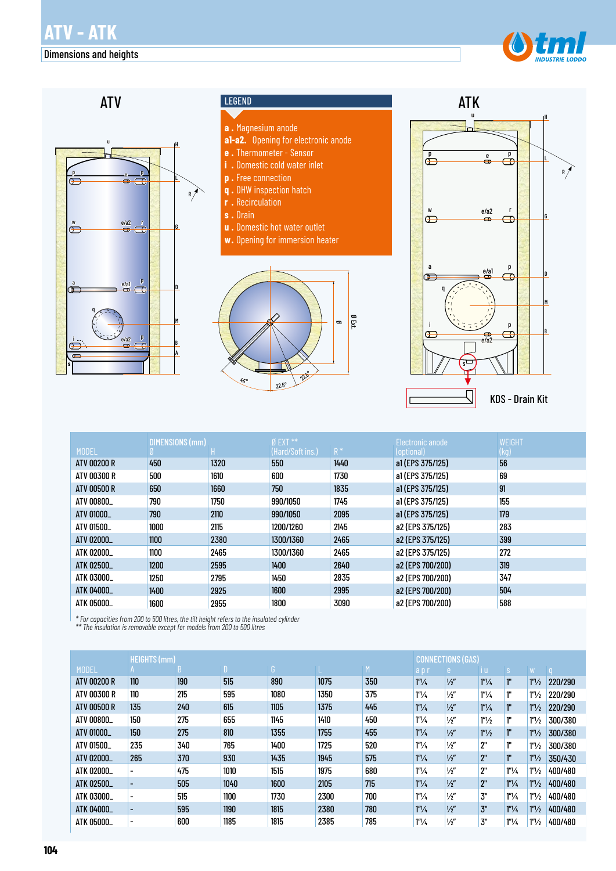

#### Dimensions and heights





|              | <b>DIMENSIONS (mm)</b> |      | $0$ EXT $**$     |       | Electronic anode | <b>WEIGHT</b> |
|--------------|------------------------|------|------------------|-------|------------------|---------------|
| <b>MODEL</b> |                        |      | (Hard/Soft ins.) | $R^*$ | (optional)       | (kg)          |
| ATV 00200 R  | 450                    | 1320 | 550              | 1440  | a1(EPS 375/125)  | 56            |
| ATV 00300 R  | 500                    | 1610 | 600              | 1730  | a1 (EPS 375/125) | 69            |
| ATV 00500 R  | 650                    | 1660 | 750              | 1835  | a1(EPS 375/125)  | 91            |
| ATV 00800_   | 790                    | 1750 | 990/1050         | 1745  | a1(EPS 375/125)  | 155           |
| ATV 01000_   | 790                    | 2110 | 990/1050         | 2095  | a1(EPS 375/125)  | 179           |
| ATV 01500_   | 1000                   | 2115 | 1200/1260        | 2145  | a2 (EPS 375/125) | 283           |
| ATV 02000_   | 1100                   | 2380 | 1300/1360        | 2465  | a2 (EPS 375/125) | 399           |
| ATK 02000_   | 1100                   | 2465 | 1300/1360        | 2465  | a2 (EPS 375/125) | 272           |
| ATK 02500_   | 1200                   | 2595 | 1400             | 2640  | a2 (EPS 700/200) | 319           |
| ATK 03000_   | 1250                   | 2795 | 1450             | 2835  | a2 (EPS 700/200) | 347           |
| ATK 04000_   | 1400                   | 2925 | 1600             | 2995  | a2 (EPS 700/200) | 504           |
| ATK 05000_   | 1600                   | 2955 | 1800             | 3090  | a2 (EPS 700/200) | 588           |

*\* For capacities from 200 to 500 litres, the tilt height refers to the insulated cylinder \*\* The insulation is removable except for models from 200 to 500 litres*

|                    | <b>HEIGHTS (mm)</b>      |     |              |      |      |     | <b>CONNECTIONS (GAS)</b> |               |                  |                  |                   |         |  |
|--------------------|--------------------------|-----|--------------|------|------|-----|--------------------------|---------------|------------------|------------------|-------------------|---------|--|
| <b>MODEL</b>       |                          | n.  | $\mathsf{D}$ | G.   |      | M   | apr                      | re i          | vi Ul            | S                | W.                | $\cap$  |  |
| <b>ATV 00200 R</b> | 110                      | 190 | 515          | 890  | 1075 | 350 | 1 <sup>n</sup> /4        | $\frac{1}{2}$ | $1''\frac{1}{4}$ | ľ.               | 1 <sup>n</sup> /2 | 220/290 |  |
| ATV 00300 R        | 110                      | 215 | 595          | 1080 | 1350 | 375 | 1 <sup>n</sup> /4        | $\frac{1}{2}$ | $1''\frac{1}{4}$ | ı"               | 1 <sup>n</sup> /2 | 220/290 |  |
| <b>ATV 00500 R</b> | 135                      | 240 | 615          | 1105 | 1375 | 445 | 1 <sup>n</sup> /4        | $\frac{1}{2}$ | $1''\frac{1}{4}$ | ľ.               | 1 <sup>n</sup> /2 | 220/290 |  |
| ATV 00800_         | 150                      | 275 | 655          | 1145 | 1410 | 450 | 1 <sup>n</sup> /4        | $\frac{1}{2}$ | $1''\frac{1}{2}$ | ı"               | 1 <sup>n</sup> /2 | 300/380 |  |
| ATV 01000          | 150                      | 275 | 810          | 1355 | 1755 | 455 | 1 <sup>n</sup> /4        | $\frac{1}{2}$ | $1''\frac{1}{2}$ | 1 <sup>n</sup>   | 1 <sup>n</sup> /2 | 300/380 |  |
| ATV 01500_         | 235                      | 340 | 765          | 1400 | 1725 | 520 | $1^{\prime\prime}/4$     | $\frac{1}{2}$ | 2"               | ľ.               | 1 <sup>n</sup> /2 | 300/380 |  |
| ATV 02000          | 265                      | 370 | 930          | 1435 | 1945 | 575 | $1^{\prime\prime}/4$     | $\frac{1}{2}$ | 2"               | 1 <sup>n</sup>   | 1 <sup>n</sup> /2 | 350/430 |  |
| ATK 02000_         | $\overline{\phantom{0}}$ | 475 | 1010         | 1515 | 1975 | 680 | $1''\frac{1}{4}$         | $\frac{1}{2}$ | 2"               | $1''\frac{1}{4}$ | 1 <sup>n</sup> /2 | 400/480 |  |
| ATK 02500          | $\overline{\phantom{a}}$ | 505 | 1040         | 1600 | 2105 | 715 | 1 <sup>n</sup> /4        | $\frac{1}{2}$ | 2"               | $1''\frac{1}{4}$ | 1 <sup>n</sup> /2 | 400/480 |  |
| ATK 03000_         | $\overline{\phantom{0}}$ | 515 | 1100         | 1730 | 2300 | 700 | $1''\frac{1}{4}$         | $\frac{1}{2}$ | 3"               | $1''\frac{1}{4}$ | 1 <sup>n</sup> /2 | 400/480 |  |
| ATK 04000_         | $\overline{\phantom{a}}$ | 595 | 1190         | 1815 | 2380 | 780 | 1''/4                    | $\frac{1}{2}$ | 3"               | $1''\frac{1}{4}$ | 1 <sup>n</sup> /2 | 400/480 |  |
| ATK 05000_         | $\overline{\phantom{a}}$ | 600 | 1185         | 1815 | 2385 | 785 | 1 <sup>n</sup> /4        | $\frac{1}{2}$ | 3"               | $1''\frac{1}{4}$ | 1 <sup>n</sup> /2 | 400/480 |  |